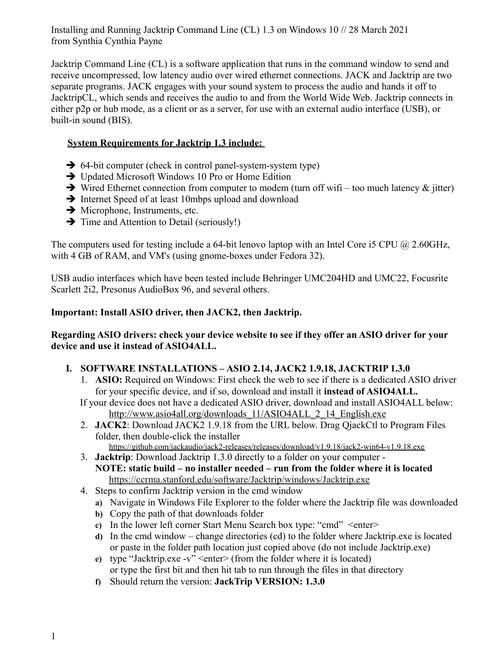Installing and Running Jacktrip Command Line (CL) 1.3 on Windows 10 // 28 March 2021 from Synthia Cynthia Payne

Jacktrip Command Line (CL) is a software application that runs in the command window to send and receive uncompressed, low latency audio over wired ethernet connections. JACK and Jacktrip are two separate programs. JACK engages with your sound system to process the audio and hands it off to JacktripCL, which sends and receives the audio to and from the World Wide Web. Jacktrip connects in either p2p or hub mode, as a client or as a server, for use with an external audio interface (USB), or built-in sound (BIS).

## **System Requirements for Jacktrip 1.3 include:**

- $\rightarrow$  64-bit computer (check in control panel-system-system type)
- $\rightarrow$  Updated Microsoft Windows 10 Pro or Home Edition
- $\rightarrow$  Wired Ethernet connection from computer to modem (turn off wifi too much latency & jitter)
- $\rightarrow$  Internet Speed of at least 10mbps upload and download
- $\rightarrow$  Microphone, Instruments, etc.
- $\rightarrow$  Time and Attention to Detail (seriously!)

The computers used for testing include a 64-bit lenovo laptop with an Intel Core i5 CPU @ 2.60GHz, with 4 GB of RAM, and VM's (using gnome-boxes under Fedora 32).

USB audio interfaces which have been tested include Behringer UMC204HD and UMC22, Focusrite Scarlett 2i2, Presonus AudioBox 96, and several others.

## **Important: Install ASIO driver, then JACK2, then Jacktrip.**

### **Regarding ASIO drivers: check your device website to see if they offer an ASIO driver for your device and use it instead of ASIO4ALL.**

# **I. SOFTWARE INSTALLATIONS – ASIO 2.14, JACK2 1.9.18, JACKTRIP 1.3.0**

- 1. **ASIO:** Required on Windows: First check the web to see if there is a dedicated ASIO driver for your specific device, and if so, download and install it **instead of ASIO4ALL.**
- If your device does not have a dedicated ASIO driver, download and install ASIO4ALL below: [http://www.asio4all.org/downloads\\_11/ASIO4ALL\\_2\\_14\\_English.exe](http://www.asio4all.org/downloads_11/ASIO4ALL_2_14_English.exe)
- 2. **JACK2**: Download JACK2 1.9.18 from the URL below. Drag QjackCtl to Program Files folder, then double-click the installer https://github.com/jackaudio/jack2-releases/releases/download/v1.9.18/jack2-win64-v1.9.18.exe
- 3. **Jacktrip**: Download Jacktrip 1.3.0 directly to a folder on your computer **NOTE: static build – no installer needed – run from the folder where it is located** [https://ccrma.stanford.edu/software/Jacktrip/windows/Jacktrip.exe](https://ccrma.stanford.edu/software/jacktrip/windows/jacktrip.exe)
- 4. Steps to confirm Jacktrip version in the cmd window
	- **a)** Navigate in Windows File Explorer to the folder where the Jacktrip file was downloaded
	- **b)** Copy the path of that downloads folder
	- **c)** In the lower left corner Start Menu Search box type: "cmd" <enter>
	- **d)** In the cmd window change directories (cd) to the folder where Jacktrip.exe is located or paste in the folder path location just copied above (do not include Jacktrip.exe)
	- **e)** type "Jacktrip.exe -v" <enter> (from the folder where it is located) or type the first bit and then hit tab to run through the files in that directory
	- **f)** Should return the version: **JackTrip VERSION: 1.3.0**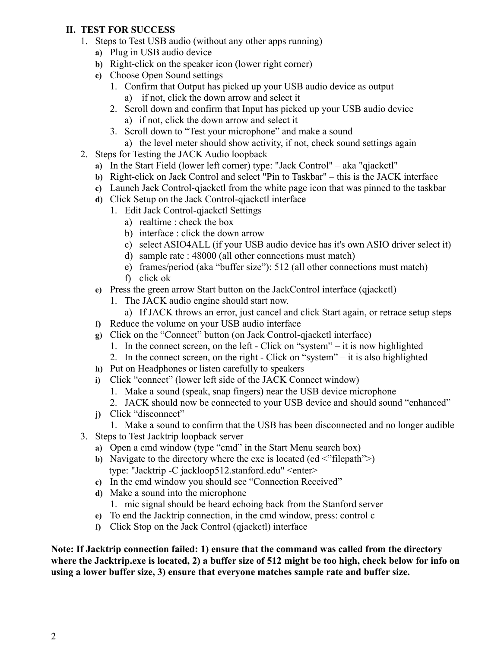### **II. TEST FOR SUCCESS**

- 1. Steps to Test USB audio (without any other apps running)
	- **a)** Plug in USB audio device
	- **b)** Right-click on the speaker icon (lower right corner)
	- **c)** Choose Open Sound settings
		- 1. Confirm that Output has picked up your USB audio device as output
			- a) if not, click the down arrow and select it
		- 2. Scroll down and confirm that Input has picked up your USB audio device a) if not, click the down arrow and select it
		- 3. Scroll down to "Test your microphone" and make a sound
			- a) the level meter should show activity, if not, check sound settings again
- 2. Steps for Testing the JACK Audio loopback
	- **a)** In the Start Field (lower left corner) type: "Jack Control" aka "qjackctl"
	- **b)** Right-click on Jack Control and select "Pin to Taskbar" this is the JACK interface
	- **c)** Launch Jack Control-qjackctl from the white page icon that was pinned to the taskbar
	- **d)** Click Setup on the Jack Control-qjackctl interface
		- 1. Edit Jack Control-qjackctl Settings
			- a) realtime : check the box
			- b) interface : click the down arrow
			- c) select ASIO4ALL (if your USB audio device has it's own ASIO driver select it)
			- d) sample rate : 48000 (all other connections must match)
			- e) frames/period (aka "buffer size"): 512 (all other connections must match)
			- f) click ok
	- **e)** Press the green arrow Start button on the JackControl interface (qjackctl)
		- 1. The JACK audio engine should start now.
			- a) If JACK throws an error, just cancel and click Start again, or retrace setup steps
	- **f)** Reduce the volume on your USB audio interface
	- **g)** Click on the "Connect" button (on Jack Control-qjackctl interface)
		- 1. In the connect screen, on the left Click on "system" it is now highlighted
		- 2. In the connect screen, on the right Click on "system" it is also highlighted
	- **h)** Put on Headphones or listen carefully to speakers
	- **i)** Click "connect" (lower left side of the JACK Connect window)
		- 1. Make a sound (speak, snap fingers) near the USB device microphone
		- 2. JACK should now be connected to your USB device and should sound "enhanced"
	- **j)** Click "disconnect"
		- 1. Make a sound to confirm that the USB has been disconnected and no longer audible
- 3. Steps to Test Jacktrip loopback server
	- **a)** Open a cmd window (type "cmd" in the Start Menu search box)
	- **b)** Navigate to the directory where the exe is located (cd <"filepath">) type: "Jacktrip -C jackloop512.stanford.edu" <enter>
	- **c)** In the cmd window you should see "Connection Received"
	- **d)** Make a sound into the microphone
		- 1. mic signal should be heard echoing back from the Stanford server
	- **e)** To end the Jacktrip connection, in the cmd window, press: control c
	- **f)** Click Stop on the Jack Control (qjackctl) interface

**Note: If Jacktrip connection failed: 1) ensure that the command was called from the directory where the Jacktrip.exe is located, 2) a buffer size of 512 might be too high, check below for info on using a lower buffer size, 3) ensure that everyone matches sample rate and buffer size.**